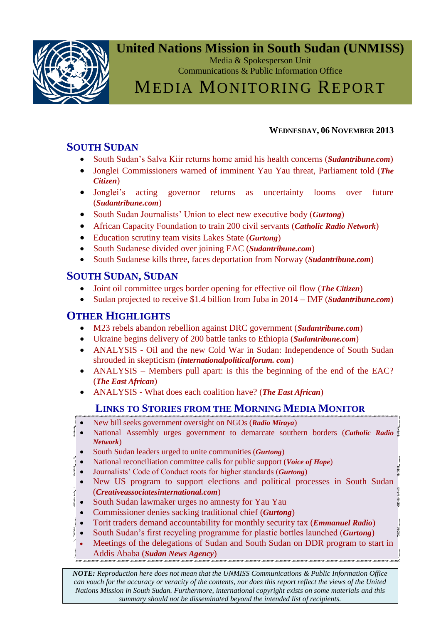

## **United Nations Mission in South Sudan (UNMISS)**

Media & Spokesperson Unit Communications & Public Information Office

## MEDIA MONITORING REPORT

#### **WEDNESDAY, 06 NOVEMBER 2013**

## <span id="page-0-0"></span>**SOUTH SUDAN**

- [South Sudan's Salva Kiir returns home amid his health concerns \(](#page-1-0)*Sudantribune.com*)
- [Jonglei Commissioners warned of imminent Yau Yau threat, Parliament told \(](#page-1-0)*The [Citizen](#page-1-0)*)
- Jonglei's acting governor returns as uncertainty looms over future (*[Sudantribune.com](#page-2-0)*)
- [South Sudan Journalists' Union to elect new executive body \(](#page-2-0)*Gurtong*)
- [African Capacity Foundation to train 200 civil servants \(](#page-4-0)*Catholic Radio Network*)
- [Education scrutiny team visits Lakes State \(](#page-2-0)*Gurtong*)
- [South Sudanese divided over joining EAC \(](#page-5-0)*Sudantribune.com*)
- [South Sudanese kills three, faces deportation from Norway \(](#page-6-0)*Sudantribune.com*)

## **SOUTH SUDAN, SUDAN**

- [Joint oil committee urges border opening for effective oil flow \(](#page-2-0)*The Citizen*)
- [Sudan projected to receive \\$1.4 billion from Juba in 2014 –](#page-6-0) IMF (*Sudantribune.com*)

## **OTHER HIGHLIGHTS**

- [M23 rebels abandon rebellion against DRC government \(](#page-6-0)*Sudantribune.com*)
- [Ukraine begins delivery of 200 battle tanks to Ethiopia \(](#page-9-0)*Sudantribune.com*)
- ANALYSIS [Oil and the new Cold War in Sudan: Independence of South Sudan](#page-10-0)  shrouded in skepticism (*[internationalpoliticalforum. com](#page-10-0)*)
- ANALYSIS [Members pull apart: is this the beginning of the end of the EAC?](#page-10-0) (*[The East African](#page-10-0)*)
- ANALYSIS [What does each coalition have? \(](#page-13-0)*The East African*)

### **LINKS TO STORIES FROM THE MORNING MEDIA MONITOR**

- [New bill seeks government oversight on NGOs \(](http://www.radiomiraya.org/news-202/south-sudan/12392-new-bill-seeks-government-oversight-on-ngos.html#gsc.tab=0)*Radio Miraya*)
- [National Assembly urges government to demarcate southern borders \(](http://catholicradionetwork.org/?q=node/12226)*Catholic Radio [Network](http://catholicradionetwork.org/?q=node/12226)*)
- [South Sudan leaders urged to unite communities \(](http://www.gurtong.net/ECM/Editorial/tabid/124/ID/13649/Default.aspx)*Gurtong*)
- [National reconciliation committee calls for public support \(](http://catholicradionetwork.org/?q=node/12221)*Voice of Hope*)
- [Journalists' Code of Conduct roots for higher standards \(](http://www.gurtong.net/ECM/Editorial/tabid/124/ID/13650/Default.aspx)*Gurtong*)
- [New US program to support elections and political processes in South Sudan](http://www.prnewswire.com/news-releases/new-us-program-to-support-elections-and-political-processes-in-south-sudan-230649431.html)  (*[Creativeassociatesinternational.com](http://www.prnewswire.com/news-releases/new-us-program-to-support-elections-and-political-processes-in-south-sudan-230649431.html)*)
- [South Sudan lawmaker urges no amnesty for Yau Yau](http://www.voanews.com/articleprintview/1784464.html)
- [Commissioner denies sacking traditional chief \(](http://www.gurtong.net/ECM/Editorial/tabid/124/ID/13651/Default.aspx)*Gurtong*)
- [Torit traders demand accountability for monthly security tax \(](http://catholicradionetwork.org/?q=node/12222)*Emmanuel Radio*)
- [South Sudan's first recycling programme for plastic bottles launched \(](http://www.gurtong.net/ECM/Editorial/tabid/124/ID/13653/Default.aspx)*Gurtong*)
- [Meetings of the delegations of Sudan and South Sudan on DDR program to start in](http://suna-sd.net/suna/showNews/LuS2xwUE1ScSMa1BFcwtqc56BmIDdkdNNtjUppWwU7Y/2)
- Addis Ababa (*[Sudan News Agency](http://suna-sd.net/suna/showNews/LuS2xwUE1ScSMa1BFcwtqc56BmIDdkdNNtjUppWwU7Y/2)*)

*NOTE: Reproduction here does not mean that the UNMISS Communications & Public Information Office can vouch for the accuracy or veracity of the contents, nor does this report reflect the views of the United Nations Mission in South Sudan. Furthermore, international copyright exists on some materials and this summary should not be disseminated beyond the intended list of recipients.*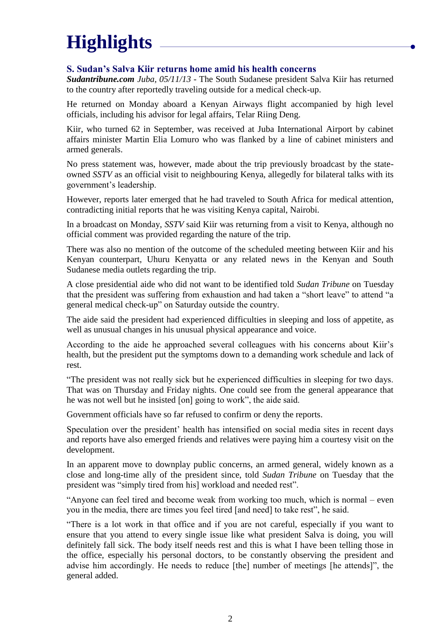# **Highlights**

#### <span id="page-1-0"></span>**S. Sudan's Salva Kiir returns home amid his health concerns**

*Sudantribune.com Juba, 05/11/13* - The South Sudanese president Salva Kiir has returned to the country after reportedly traveling outside for a medical check-up.

He returned on Monday aboard a Kenyan Airways flight accompanied by high level officials, including his advisor for legal affairs, Telar Riing Deng.

Kiir, who turned 62 in September, was received at Juba International Airport by cabinet affairs minister Martin Elia Lomuro who was flanked by a line of cabinet ministers and armed generals.

No press statement was, however, made about the trip previously broadcast by the stateowned *SSTV* as an official visit to neighbouring Kenya, allegedly for bilateral talks with its government's leadership.

However, reports later emerged that he had traveled to South Africa for medical attention, contradicting initial reports that he was visiting Kenya capital, Nairobi.

In a broadcast on Monday, *SSTV* said Kiir was returning from a visit to Kenya, although no official comment was provided regarding the nature of the trip.

There was also no mention of the outcome of the scheduled meeting between Kiir and his Kenyan counterpart, Uhuru Kenyatta or any related news in the Kenyan and South Sudanese media outlets regarding the trip.

A close presidential aide who did not want to be identified told *Sudan Tribune* on Tuesday that the president was suffering from exhaustion and had taken a "short leave" to attend "a general medical check-up" on Saturday outside the country.

The aide said the president had experienced difficulties in sleeping and loss of appetite, as well as unusual changes in his unusual physical appearance and voice.

According to the aide he approached several colleagues with his concerns about Kiir's health, but the president put the symptoms down to a demanding work schedule and lack of rest.

"The president was not really sick but he experienced difficulties in sleeping for two days. That was on Thursday and Friday nights. One could see from the general appearance that he was not well but he insisted [on] going to work", the aide said.

Government officials have so far refused to confirm or deny the reports.

Speculation over the president' health has intensified on social media sites in recent days and reports have also emerged friends and relatives were paying him a courtesy visit on the development.

In an apparent move to downplay public concerns, an armed general, widely known as a close and long-time ally of the president since, told *Sudan Tribune* on Tuesday that the president was "simply tired from his] workload and needed rest".

"Anyone can feel tired and become weak from working too much, which is normal – even you in the media, there are times you feel tired [and need] to take rest", he said.

"There is a lot work in that office and if you are not careful, especially if you want to ensure that you attend to every single issue like what president Salva is doing, you will definitely fall sick. The body itself needs rest and this is what I have been telling those in the office, especially his personal doctors, to be constantly observing the president and advise him accordingly. He needs to reduce [the] number of meetings [he attends]", the general added.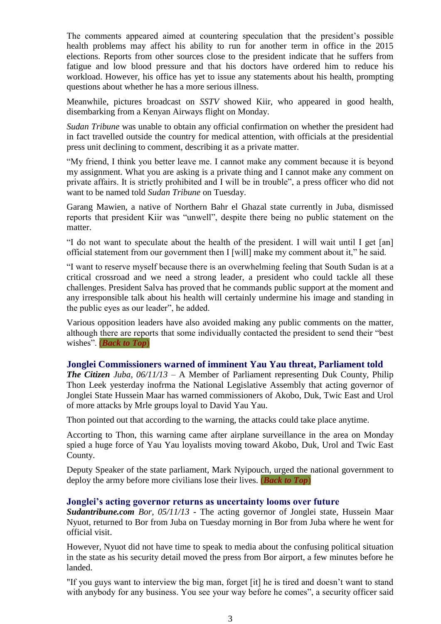The comments appeared aimed at countering speculation that the president's possible health problems may affect his ability to run for another term in office in the 2015 elections. Reports from other sources close to the president indicate that he suffers from fatigue and low blood pressure and that his doctors have ordered him to reduce his workload. However, his office has yet to issue any statements about his health, prompting questions about whether he has a more serious illness.

Meanwhile, pictures broadcast on *SSTV* showed Kiir, who appeared in good health, disembarking from a Kenyan Airways flight on Monday.

*Sudan Tribune* was unable to obtain any official confirmation on whether the president had in fact travelled outside the country for medical attention, with officials at the presidential press unit declining to comment, describing it as a private matter.

"My friend, I think you better leave me. I cannot make any comment because it is beyond my assignment. What you are asking is a private thing and I cannot make any comment on private affairs. It is strictly prohibited and I will be in trouble", a press officer who did not want to be named told *Sudan Tribune* on Tuesday.

Garang Mawien, a native of Northern Bahr el Ghazal state currently in Juba, dismissed reports that president Kiir was "unwell", despite there being no public statement on the matter.

"I do not want to speculate about the health of the president. I will wait until I get [an] official statement from our government then I [will] make my comment about it," he said.

"I want to reserve myself because there is an overwhelming feeling that South Sudan is at a critical crossroad and we need a strong leader, a president who could tackle all these challenges. President Salva has proved that he commands public support at the moment and any irresponsible talk about his health will certainly undermine his image and standing in the public eyes as our leader", he added.

Various opposition leaders have also avoided making any public comments on the matter, although there are reports that some individually contacted the president to send their "best wishes". (*[Back to Top](#page-0-0)*)

#### **Jonglei Commissioners warned of imminent Yau Yau threat, Parliament told**

*The Citizen Juba, 06/11/13* – A Member of Parliament representing Duk County, Philip Thon Leek yesterday inofrma the National Legislative Assembly that acting governor of Jonglei State Hussein Maar has warned commissioners of Akobo, Duk, Twic East and Urol of more attacks by Mrle groups loyal to David Yau Yau.

Thon pointed out that according to the warning, the attacks could take place anytime.

Accorting to Thon, this warning came after airplane surveillance in the area on Monday spied a huge force of Yau Yau loyalists moving toward Akobo, Duk, Urol and Twic East County.

Deputy Speaker of the state parliament, Mark Nyipouch, urged the national government to deploy the army before more civilians lose their lives. (*[Back to Top](#page-0-0)*)

#### <span id="page-2-0"></span>**Jonglei's acting governor returns as uncertainty looms over future**

*Sudantribune.com Bor, 05/11/13* - The acting governor of Jonglei state, Hussein Maar Nyuot, returned to Bor from Juba on Tuesday morning in Bor from Juba where he went for official visit.

However, Nyuot did not have time to speak to media about the confusing political situation in the state as his security detail moved the press from Bor airport, a few minutes before he landed.

"If you guys want to interview the big man, forget [it] he is tired and doesn't want to stand with anybody for any business. You see your way before he comes", a security officer said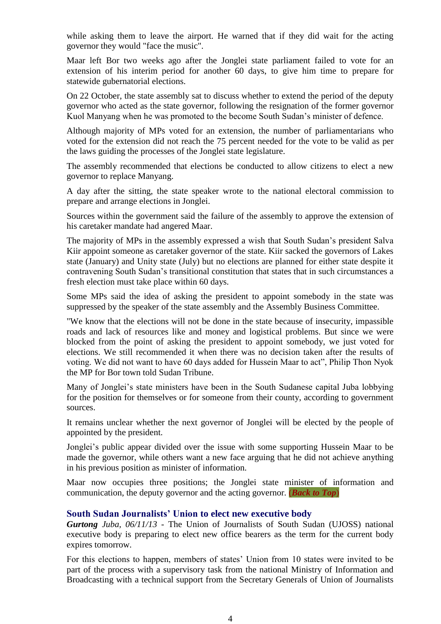while asking them to leave the airport. He warned that if they did wait for the acting governor they would "face the music".

Maar left Bor two weeks ago after the Jonglei state parliament failed to vote for an extension of his interim period for another 60 days, to give him time to prepare for statewide gubernatorial elections.

On 22 October, the state assembly sat to discuss whether to extend the period of the deputy governor who acted as the state governor, following the resignation of the former governor Kuol Manyang when he was promoted to the become South Sudan's minister of defence.

Although majority of MPs voted for an extension, the number of parliamentarians who voted for the extension did not reach the 75 percent needed for the vote to be valid as per the laws guiding the processes of the Jonglei state legislature.

The assembly recommended that elections be conducted to allow citizens to elect a new governor to replace Manyang.

A day after the sitting, the state speaker wrote to the national electoral commission to prepare and arrange elections in Jonglei.

Sources within the government said the failure of the assembly to approve the extension of his caretaker mandate had angered Maar.

The majority of MPs in the assembly expressed a wish that South Sudan's president Salva Kiir appoint someone as caretaker governor of the state. Kiir sacked the governors of Lakes state (January) and Unity state (July) but no elections are planned for either state despite it contravening South Sudan's transitional constitution that states that in such circumstances a fresh election must take place within 60 days.

Some MPs said the idea of asking the president to appoint somebody in the state was suppressed by the speaker of the state assembly and the Assembly Business Committee.

"We know that the elections will not be done in the state because of insecurity, impassible roads and lack of resources like and money and logistical problems. But since we were blocked from the point of asking the president to appoint somebody, we just voted for elections. We still recommended it when there was no decision taken after the results of voting. We did not want to have 60 days added for Hussein Maar to act", Philip Thon Nyok the MP for Bor town told Sudan Tribune.

Many of Jonglei's state ministers have been in the South Sudanese capital Juba lobbying for the position for themselves or for someone from their county, according to government sources.

It remains unclear whether the next governor of Jonglei will be elected by the people of appointed by the president.

Jonglei's public appear divided over the issue with some supporting Hussein Maar to be made the governor, while others want a new face arguing that he did not achieve anything in his previous position as minister of information.

Maar now occupies three positions; the Jonglei state minister of information and communication, the deputy governor and the acting governor. (*[Back to Top](#page-0-0)*)

#### **South Sudan Journalists' Union to elect new executive body**

*Gurtong Juba, 06/11/13* - The Union of Journalists of South Sudan (UJOSS) national executive body is preparing to elect new office bearers as the term for the current body expires tomorrow.

For this elections to happen, members of states' Union from 10 states were invited to be part of the process with a supervisory task from the national Ministry of Information and Broadcasting with a technical support from the Secretary Generals of Union of Journalists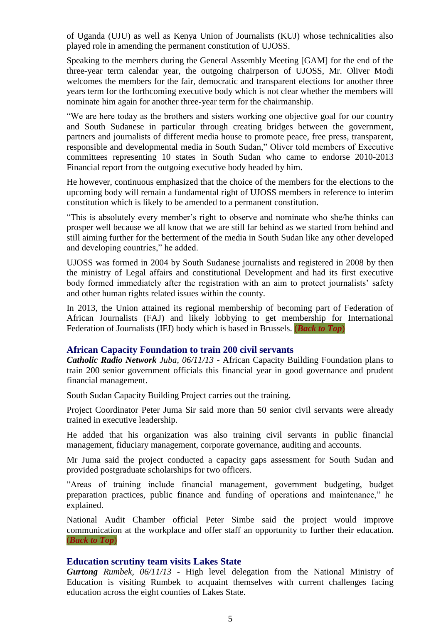of Uganda (UJU) as well as Kenya Union of Journalists (KUJ) whose technicalities also played role in amending the permanent constitution of UJOSS.

Speaking to the members during the General Assembly Meeting [GAM] for the end of the three-year term calendar year, the outgoing chairperson of UJOSS, Mr. Oliver Modi welcomes the members for the fair, democratic and transparent elections for another three years term for the forthcoming executive body which is not clear whether the members will nominate him again for another three-year term for the chairmanship.

"We are here today as the brothers and sisters working one objective goal for our country and South Sudanese in particular through creating bridges between the government, partners and journalists of different media house to promote peace, free press, transparent, responsible and developmental media in South Sudan," Oliver told members of Executive committees representing 10 states in South Sudan who came to endorse 2010-2013 Financial report from the outgoing executive body headed by him.

He however, continuous emphasized that the choice of the members for the elections to the upcoming body will remain a fundamental right of UJOSS members in reference to interim constitution which is likely to be amended to a permanent constitution.

"This is absolutely every member's right to observe and nominate who she/he thinks can prosper well because we all know that we are still far behind as we started from behind and still aiming further for the betterment of the media in South Sudan like any other developed and developing countries," he added.

UJOSS was formed in 2004 by South Sudanese journalists and registered in 2008 by then the ministry of Legal affairs and constitutional Development and had its first executive body formed immediately after the registration with an aim to protect journalists' safety and other human rights related issues within the county.

In 2013, the Union attained its regional membership of becoming part of Federation of African Journalists (FAJ) and likely lobbying to get membership for International Federation of Journalists (IFJ) body which is based in Brussels. (*[Back to Top](#page-0-0)*)

#### <span id="page-4-0"></span>**African Capacity Foundation to train 200 civil servants**

*Catholic Radio Network Juba, 06/11/13* - African Capacity Building Foundation plans to train 200 senior government officials this financial year in good governance and prudent financial management.

South Sudan Capacity Building Project carries out the training.

Project Coordinator Peter Juma Sir said more than 50 senior civil servants were already trained in executive leadership.

He added that his organization was also training civil servants in public financial management, fiduciary management, corporate governance, auditing and accounts.

Mr Juma said the project conducted a capacity gaps assessment for South Sudan and provided postgraduate scholarships for two officers.

"Areas of training include financial management, government budgeting, budget preparation practices, public finance and funding of operations and maintenance," he explained.

National Audit Chamber official Peter Simbe said the project would improve communication at the workplace and offer staff an opportunity to further their education. (*[Back to Top](#page-0-0)*)

#### **Education scrutiny team visits Lakes State**

*Gurtong Rumbek, 06/11/13* - High level delegation from the National Ministry of Education is visiting Rumbek to acquaint themselves with current challenges facing education across the eight counties of Lakes State.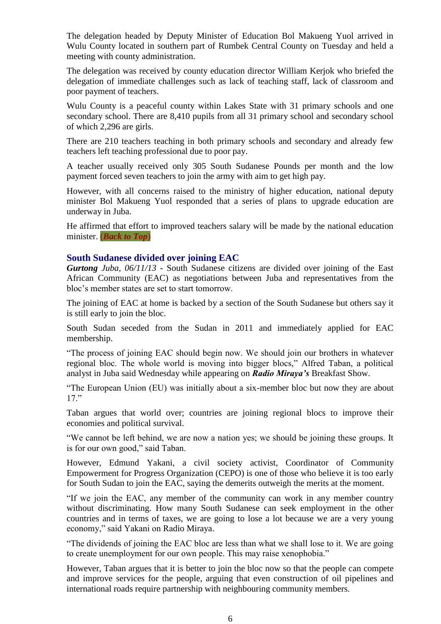The delegation headed by Deputy Minister of Education Bol Makueng Yuol arrived in Wulu County located in southern part of Rumbek Central County on Tuesday and held a meeting with county administration.

The delegation was received by county education director William Kerjok who briefed the delegation of immediate challenges such as lack of teaching staff, lack of classroom and poor payment of teachers.

Wulu County is a peaceful county within Lakes State with 31 primary schools and one secondary school. There are 8,410 pupils from all 31 primary school and secondary school of which 2,296 are girls.

There are 210 teachers teaching in both primary schools and secondary and already few teachers left teaching professional due to poor pay.

A teacher usually received only 305 South Sudanese Pounds per month and the low payment forced seven teachers to join the army with aim to get high pay.

However, with all concerns raised to the ministry of higher education, national deputy minister Bol Makueng Yuol responded that a series of plans to upgrade education are underway in Juba.

He affirmed that effort to improved teachers salary will be made by the national education minister. (*[Back to Top](#page-0-0)*)

#### <span id="page-5-0"></span>**South Sudanese divided over joining EAC**

*Gurtong Juba, 06/11/13* - South Sudanese citizens are divided over joining of the East African Community (EAC) as negotiations between Juba and representatives from the bloc's member states are set to start tomorrow.

The joining of EAC at home is backed by a section of the South Sudanese but others say it is still early to join the bloc.

South Sudan seceded from the Sudan in 2011 and immediately applied for EAC membership.

"The process of joining EAC should begin now. We should join our brothers in whatever regional bloc. The whole world is moving into bigger blocs," Alfred Taban, a political analyst in Juba said Wednesday while appearing on *Radio Miraya's* Breakfast Show.

"The European Union (EU) was initially about a six-member bloc but now they are about 17."

Taban argues that world over; countries are joining regional blocs to improve their economies and political survival.

"We cannot be left behind, we are now a nation yes; we should be joining these groups. It is for our own good," said Taban.

However, Edmund Yakani, a civil society activist, Coordinator of Community Empowerment for Progress Organization (CEPO) is one of those who believe it is too early for South Sudan to join the EAC, saying the demerits outweigh the merits at the moment.

"If we join the EAC, any member of the community can work in any member country without discriminating. How many South Sudanese can seek employment in the other countries and in terms of taxes, we are going to lose a lot because we are a very young economy," said Yakani on Radio Miraya.

"The dividends of joining the EAC bloc are less than what we shall lose to it. We are going to create unemployment for our own people. This may raise xenophobia."

However, Taban argues that it is better to join the bloc now so that the people can compete and improve services for the people, arguing that even construction of oil pipelines and international roads require partnership with neighbouring community members.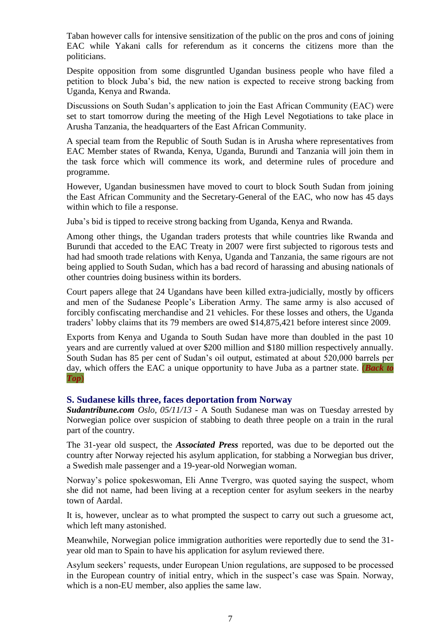Taban however calls for intensive sensitization of the public on the pros and cons of joining EAC while Yakani calls for referendum as it concerns the citizens more than the politicians.

Despite opposition from some disgruntled Ugandan business people who have filed a petition to block Juba's bid, the new nation is expected to receive strong backing from Uganda, Kenya and Rwanda.

Discussions on South Sudan's application to join the East African Community (EAC) were set to start tomorrow during the meeting of the High Level Negotiations to take place in Arusha Tanzania, the headquarters of the East African Community.

A special team from the Republic of South Sudan is in Arusha where representatives from EAC Member states of Rwanda, Kenya, Uganda, Burundi and Tanzania will join them in the task force which will commence its work, and determine rules of procedure and programme.

However, Ugandan businessmen have moved to court to block South Sudan from joining the East African Community and the Secretary-General of the EAC, who now has 45 days within which to file a response.

Juba's bid is tipped to receive strong backing from Uganda, Kenya and Rwanda.

Among other things, the Ugandan traders protests that while countries like Rwanda and Burundi that acceded to the EAC Treaty in 2007 were first subjected to rigorous tests and had had smooth trade relations with Kenya, Uganda and Tanzania, the same rigours are not being applied to South Sudan, which has a bad record of harassing and abusing nationals of other countries doing business within its borders.

Court papers allege that 24 Ugandans have been killed extra-judicially, mostly by officers and men of the Sudanese People's Liberation Army. The same army is also accused of forcibly confiscating merchandise and 21 vehicles. For these losses and others, the Uganda traders' lobby claims that its 79 members are owed \$14,875,421 before interest since 2009.

Exports from Kenya and Uganda to South Sudan have more than doubled in the past 10 years and are currently valued at over \$200 million and \$180 million respectively annually. South Sudan has 85 per cent of Sudan's oil output, estimated at about 520,000 barrels per day, which offers the EAC a unique opportunity to have Juba as a partner state. (*[Back to](#page-0-0)  [Top](#page-0-0)*)

#### <span id="page-6-0"></span>**S. Sudanese kills three, faces deportation from Norway**

*Sudantribune.com Oslo, 05/11/13* - A South Sudanese man was on Tuesday arrested by Norwegian police over suspicion of stabbing to death three people on a train in the rural part of the country.

The 31-year old suspect, the *Associated Press* reported, was due to be deported out the country after Norway rejected his asylum application, for stabbing a Norwegian bus driver, a Swedish male passenger and a 19-year-old Norwegian woman.

Norway's police spokeswoman, Eli Anne Tvergro, was quoted saying the suspect, whom she did not name, had been living at a reception center for asylum seekers in the nearby town of Aardal.

It is, however, unclear as to what prompted the suspect to carry out such a gruesome act, which left many astonished.

Meanwhile, Norwegian police immigration authorities were reportedly due to send the 31 year old man to Spain to have his application for asylum reviewed there.

Asylum seekers' requests, under European Union regulations, are supposed to be processed in the European country of initial entry, which in the suspect's case was Spain. Norway, which is a non-EU member, also applies the same law.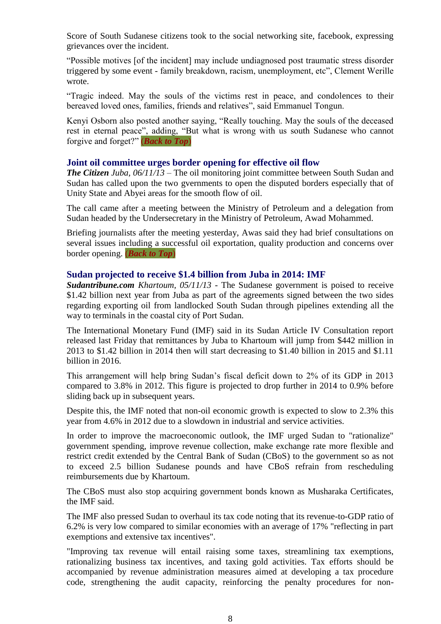Score of South Sudanese citizens took to the social networking site, facebook, expressing grievances over the incident.

"Possible motives [of the incident] may include undiagnosed post traumatic stress disorder triggered by some event - family breakdown, racism, unemployment, etc", Clement Werille wrote.

"Tragic indeed. May the souls of the victims rest in peace, and condolences to their bereaved loved ones, families, friends and relatives", said Emmanuel Tongun.

Kenyi Osborn also posted another saying, "Really touching. May the souls of the deceased rest in eternal peace", adding, "But what is wrong with us south Sudanese who cannot forgive and forget?" (*[Back to Top](#page-0-0)*)

#### **Joint oil committee urges border opening for effective oil flow**

*The Citizen Juba, 06/11/13* – The oil monitoring joint committee between South Sudan and Sudan has called upon the two gvernments to open the disputed borders especially that of Unity State and Abyei areas for the smooth flow of oil.

The call came after a meeting between the Ministry of Petroleum and a delegation from Sudan headed by the Undersecretary in the Ministry of Petroleum, Awad Mohammed.

Briefing journalists after the meeting yesterday, Awas said they had brief consultations on several issues including a successful oil exportation, quality production and concerns over border opening. (*Back [to Top](#page-0-0)*)

#### **Sudan projected to receive \$1.4 billion from Juba in 2014: IMF**

*Sudantribune.com Khartoum, 05/11/13* - The Sudanese government is poised to receive \$1.42 billion next year from Juba as part of the agreements signed between the two sides regarding exporting oil from landlocked South Sudan through pipelines extending all the way to terminals in the coastal city of Port Sudan.

The International Monetary Fund (IMF) said in its Sudan Article IV Consultation report released last Friday that remittances by Juba to Khartoum will jump from \$442 million in 2013 to \$1.42 billion in 2014 then will start decreasing to \$1.40 billion in 2015 and \$1.11 billion in 2016.

This arrangement will help bring Sudan's fiscal deficit down to 2% of its GDP in 2013 compared to 3.8% in 2012. This figure is projected to drop further in 2014 to 0.9% before sliding back up in subsequent years.

Despite this, the IMF noted that non-oil economic growth is expected to slow to 2.3% this year from 4.6% in 2012 due to a slowdown in industrial and service activities.

In order to improve the macroeconomic outlook, the IMF urged Sudan to "rationalize" government spending, improve revenue collection, make exchange rate more flexible and restrict credit extended by the Central Bank of Sudan (CBoS) to the government so as not to exceed 2.5 billion Sudanese pounds and have CBoS refrain from rescheduling reimbursements due by Khartoum.

The CBoS must also stop acquiring government bonds known as Musharaka Certificates, the IMF said.

The IMF also pressed Sudan to overhaul its tax code noting that its revenue-to-GDP ratio of 6.2% is very low compared to similar economies with an average of 17% "reflecting in part exemptions and extensive tax incentives".

"Improving tax revenue will entail raising some taxes, streamlining tax exemptions, rationalizing business tax incentives, and taxing gold activities. Tax efforts should be accompanied by revenue administration measures aimed at developing a tax procedure code, strengthening the audit capacity, reinforcing the penalty procedures for non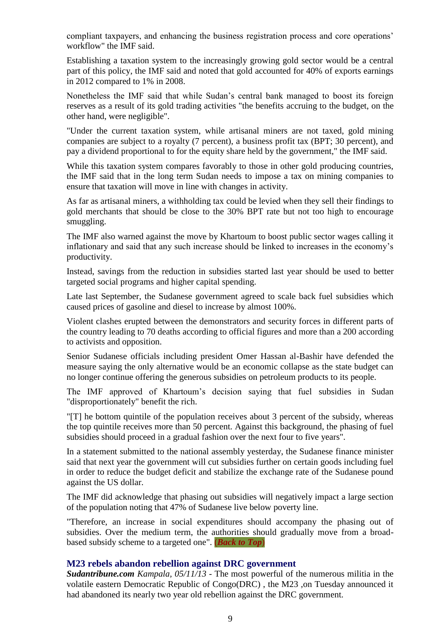compliant taxpayers, and enhancing the business registration process and core operations' workflow" the IMF said.

Establishing a taxation system to the increasingly growing gold sector would be a central part of this policy, the IMF said and noted that gold accounted for 40% of exports earnings in 2012 compared to 1% in 2008.

Nonetheless the IMF said that while Sudan's central bank managed to boost its foreign reserves as a result of its gold trading activities "the benefits accruing to the budget, on the other hand, were negligible".

"Under the current taxation system, while artisanal miners are not taxed, gold mining companies are subject to a royalty (7 percent), a business profit tax (BPT; 30 percent), and pay a dividend proportional to for the equity share held by the government," the IMF said.

While this taxation system compares favorably to those in other gold producing countries, the IMF said that in the long term Sudan needs to impose a tax on mining companies to ensure that taxation will move in line with changes in activity.

As far as artisanal miners, a withholding tax could be levied when they sell their findings to gold merchants that should be close to the 30% BPT rate but not too high to encourage smuggling.

The IMF also warned against the move by Khartoum to boost public sector wages calling it inflationary and said that any such increase should be linked to increases in the economy's productivity.

Instead, savings from the reduction in subsidies started last year should be used to better targeted social programs and higher capital spending.

Late last September, the Sudanese government agreed to scale back fuel subsidies which caused prices of gasoline and diesel to increase by almost 100%.

Violent clashes erupted between the demonstrators and security forces in different parts of the country leading to 70 deaths according to official figures and more than a 200 according to activists and opposition.

Senior Sudanese officials including president Omer Hassan al-Bashir have defended the measure saying the only alternative would be an economic collapse as the state budget can no longer continue offering the generous subsidies on petroleum products to its people.

The IMF approved of Khartoum's decision saying that fuel subsidies in Sudan "disproportionately" benefit the rich.

"[T] he bottom quintile of the population receives about 3 percent of the subsidy, whereas the top quintile receives more than 50 percent. Against this background, the phasing of fuel subsidies should proceed in a gradual fashion over the next four to five years".

In a statement submitted to the national assembly yesterday, the Sudanese finance minister said that next year the government will cut subsidies further on certain goods including fuel in order to reduce the budget deficit and stabilize the exchange rate of the Sudanese pound against the US dollar.

The IMF did acknowledge that phasing out subsidies will negatively impact a large section of the population noting that 47% of Sudanese live below poverty line.

"Therefore, an increase in social expenditures should accompany the phasing out of subsidies. Over the medium term, the authorities should gradually move from a broadbased subsidy scheme to a targeted one". (*[Back to Top](#page-0-0)*)

#### **M23 rebels abandon rebellion against DRC government**

*Sudantribune.com Kampala, 05/11/13* - The most powerful of the numerous militia in the volatile eastern Democratic Republic of Congo(DRC) , the M23 ,on Tuesday announced it had abandoned its nearly two year old rebellion against the DRC government.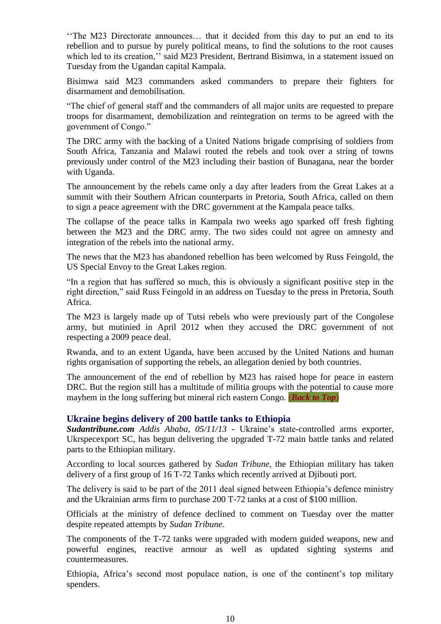''The M23 Directorate announces… that it decided from this day to put an end to its rebellion and to pursue by purely political means, to find the solutions to the root causes which led to its creation," said M23 President, Bertrand Bisimwa, in a statement issued on Tuesday from the Ugandan capital Kampala.

Bisimwa said M23 commanders asked commanders to prepare their fighters for disarmament and demobilisation.

"The chief of general staff and the commanders of all major units are requested to prepare troops for disarmament, demobilization and reintegration on terms to be agreed with the government of Congo."

The DRC army with the backing of a United Nations brigade comprising of soldiers from South Africa, Tanzania and Malawi routed the rebels and took over a string of towns previously under control of the M23 including their bastion of Bunagana, near the border with Uganda.

The announcement by the rebels came only a day after leaders from the Great Lakes at a summit with their Southern African counterparts in Pretoria, South Africa, called on them to sign a peace agreement with the DRC government at the Kampala peace talks.

The collapse of the peace talks in Kampala two weeks ago sparked off fresh fighting between the M23 and the DRC army. The two sides could not agree on amnesty and integration of the rebels into the national army.

The news that the M23 has abandoned rebellion has been welcomed by Russ Feingold, the US Special Envoy to the Great Lakes region.

"In a region that has suffered so much, this is obviously a significant positive step in the right direction," said Russ Feingold in an address on Tuesday to the press in Pretoria, South Africa.

The M23 is largely made up of Tutsi rebels who were previously part of the Congolese army, but mutinied in April 2012 when they accused the DRC government of not respecting a 2009 peace deal.

Rwanda, and to an extent Uganda, have been accused by the United Nations and human rights organisation of supporting the rebels, an allegation denied by both countries.

The announcement of the end of rebellion by M23 has raised hope for peace in eastern DRC. But the region still has a multitude of militia groups with the potential to cause more mayhem in the long suffering but mineral rich eastern Congo. (*[Back to Top](#page-0-0)*)

#### <span id="page-9-0"></span>**Ukraine begins delivery of 200 battle tanks to Ethiopia**

*Sudantribune.com Addis Ababa, 05/11/13* - Ukraine's state-controlled arms exporter, Ukrspecexport SC, has begun delivering the upgraded T-72 main battle tanks and related parts to the Ethiopian military.

According to local sources gathered by *Sudan Tribune*, the Ethiopian military has taken delivery of a first group of 16 T-72 Tanks which recently arrived at Djibouti port.

The delivery is said to be part of the 2011 deal signed between Ethiopia's defence ministry and the Ukrainian arms firm to purchase 200 T-72 tanks at a cost of \$100 million.

Officials at the ministry of defence declined to comment on Tuesday over the matter despite repeated attempts by *Sudan Tribune*.

The components of the T-72 tanks were upgraded with modern guided weapons, new and powerful engines, reactive armour as well as updated sighting systems and countermeasures.

Ethiopia, Africa's second most populace nation, is one of the continent's top military spenders.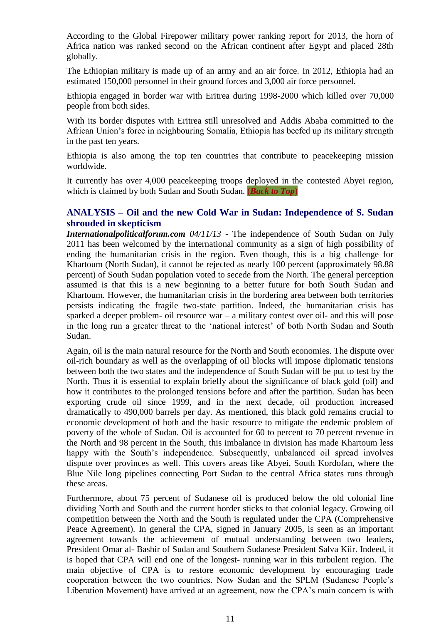According to the Global Firepower military power ranking report for 2013, the horn of Africa nation was ranked second on the African continent after Egypt and placed 28th globally.

The Ethiopian military is made up of an army and an air force. In 2012, Ethiopia had an estimated 150,000 personnel in their ground forces and 3,000 air force personnel.

Ethiopia engaged in border war with Eritrea during 1998-2000 which killed over 70,000 people from both sides.

With its border disputes with Eritrea still unresolved and Addis Ababa committed to the African Union's force in neighbouring Somalia, Ethiopia has beefed up its military strength in the past ten years.

Ethiopia is also among the top ten countries that contribute to peacekeeping mission worldwide.

It currently has over 4,000 peacekeeping troops deployed in the contested Abyei region, which is claimed by both Sudan and South Sudan. (*[Back to Top](#page-0-0)*)

#### <span id="page-10-0"></span>**ANALYSIS – Oil and the new Cold War in Sudan: Independence of S. Sudan shrouded in skepticism**

*Internationalpoliticalforum.com 04/11/13* - The independence of South Sudan on July 2011 has been welcomed by the international community as a sign of high possibility of ending the humanitarian crisis in the region. Even though, this is a big challenge for Khartoum (North Sudan), it cannot be rejected as nearly 100 percent (approximately 98.88 percent) of South Sudan population voted to secede from the North. The general perception assumed is that this is a new beginning to a better future for both South Sudan and Khartoum. However, the humanitarian crisis in the bordering area between both territories persists indicating the fragile two-state partition. Indeed, the humanitarian crisis has sparked a deeper problem- oil resource war – a military contest over oil- and this will pose in the long run a greater threat to the 'national interest' of both North Sudan and South Sudan.

Again, oil is the main natural resource for the North and South economies. The dispute over oil-rich boundary as well as the overlapping of oil blocks will impose diplomatic tensions between both the two states and the independence of South Sudan will be put to test by the North. Thus it is essential to explain briefly about the significance of black gold (oil) and how it contributes to the prolonged tensions before and after the partition. Sudan has been exporting crude oil since 1999, and in the next decade, oil production increased dramatically to 490,000 barrels per day. As mentioned, this black gold remains crucial to economic development of both and the basic resource to mitigate the endemic problem of poverty of the whole of Sudan. Oil is accounted for 60 to percent to 70 percent revenue in the North and 98 percent in the South, this imbalance in division has made Khartoum less happy with the South's independence. Subsequently, unbalanced oil spread involves dispute over provinces as well. This covers areas like Abyei, South Kordofan, where the Blue Nile long pipelines connecting Port Sudan to the central Africa states runs through these areas.

Furthermore, about 75 percent of Sudanese oil is produced below the old colonial line dividing North and South and the current border sticks to that colonial legacy. Growing oil competition between the North and the South is regulated under the CPA (Comprehensive Peace Agreement). In general the CPA, signed in January 2005, is seen as an important agreement towards the achievement of mutual understanding between two leaders, President Omar al- Bashir of Sudan and Southern Sudanese [President Salva Kiir.](http://www.bbc.co.uk/news/world-africa-12107760) Indeed, it is hoped that CPA will end one of the longest- running war in this turbulent region. The main objective of CPA is to restore economic development by encouraging trade cooperation between the two countries. Now Sudan and the SPLM (Sudanese People's Liberation Movement) have arrived at an agreement, now the CPA's main concern is with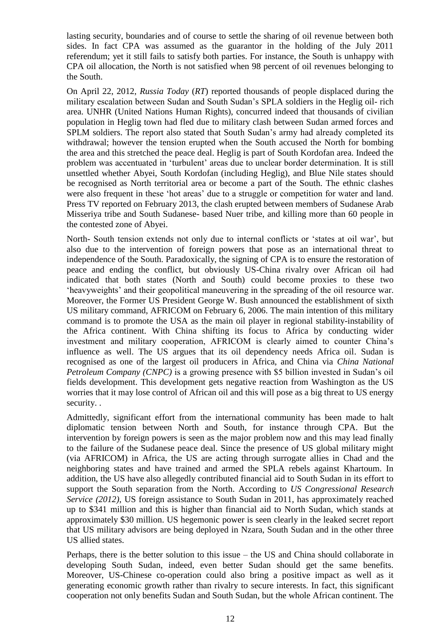lasting security, boundaries and of course to settle the sharing of oil revenue between both sides. In fact CPA was assumed as the guarantor in the holding of the July 2011 referendum; yet it still fails to satisfy both parties. For instance, the South is unhappy with CPA oil allocation, the North is not satisfied when 98 percent of oil revenues belonging to the South.

On April 22, 2012, *Russia Today* (*RT*) reported thousands of people displaced during the military escalation between Sudan and South Sudan's SPLA soldiers in the Heglig oil- rich area. UNHR (United Nations Human Rights), concurred indeed that thousands of civilian population in Heglig town had fled due to military clash between Sudan armed forces and SPLM soldiers. The report also stated that South Sudan's army had already completed its withdrawal; however the tension erupted when the South accused the North for bombing the area and this stretched the peace deal. Heglig is part of South Kordofan area. Indeed the problem was accentuated in 'turbulent' areas due to unclear border determination. It is still unsettled whether Abyei, South Kordofan (including Heglig), and Blue Nile states should be recognised as North territorial area or become a part of the South. The ethnic clashes were also frequent in these 'hot areas' due to a struggle or competition for water and land. Press TV reported on February 2013, the clash erupted between members of Sudanese Arab Misseriya tribe and South Sudanese- based Nuer tribe, and killing more than 60 people in the contested zone of Abyei.

North- South tension extends not only due to internal conflicts or 'states at oil war', but also due to the intervention of foreign powers that pose as an international threat to independence of the South. Paradoxically, the signing of CPA is to ensure the restoration of peace and ending the conflict, but obviously US-China rivalry over African oil had indicated that both states (North and South) could become proxies to these two 'heavyweights' and their geopolitical maneuvering in the spreading of the oil resource war. Moreover, the Former US President George W. Bush announced the establishment of sixth US military command, AFRICOM on February 6, 2006. The main intention of this military command is to promote the USA as the main oil player in regional stability-instability of the Africa continent. With China shifting its focus to Africa by conducting wider investment and military cooperation, AFRICOM is clearly aimed to counter China's influence as well. The US argues that its oil dependency needs Africa oil. Sudan is recognised as one of the largest oil producers in Africa, and China via *China National Petroleum Company (CNPC)* is a growing presence with \$5 billion invested in Sudan's oil fields development. This development gets negative reaction from Washington as the US worries that it may lose control of African oil and this will pose as a big threat to US energy security. .

Admittedly, significant effort from the international community has been made to halt diplomatic tension between North and South, for instance through CPA. But the intervention by foreign powers is seen as the major problem now and this may lead finally to the failure of the Sudanese peace deal. Since the presence of US global military might (via AFRICOM) in Africa, the US are acting through surrogate allies in Chad and the neighboring states and have trained and armed the SPLA rebels against Khartoum. In addition, the US have also allegedly contributed financial aid to South Sudan in its effort to support the South separation from the North. According to *US Congressional Research Service (2012)*, US foreign assistance to South Sudan in 2011, has approximately reached up to \$341 million and this is higher than financial aid to North Sudan, which stands at approximately \$30 million. US hegemonic power is seen clearly in the leaked secret report that US military advisors are being deployed in Nzara, South Sudan and in the other three US allied states.

Perhaps, there is the better solution to this issue – the US and China should collaborate in developing South Sudan, indeed, even better Sudan should get the same benefits. Moreover, US-Chinese co-operation could also bring a positive impact as well as it generating economic growth rather than rivalry to secure interests. In fact, this significant cooperation not only benefits Sudan and South Sudan, but the whole African continent. The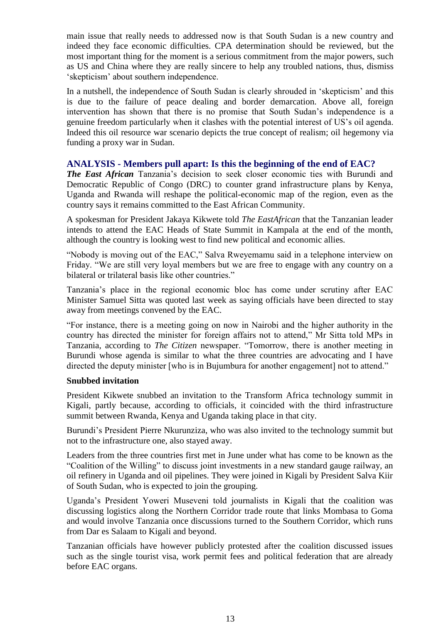main issue that really needs to addressed now is that South Sudan is a new country and indeed they face economic difficulties. CPA determination should be reviewed, but the most important thing for the moment is a serious commitment from the major powers, such as US and China where they are really sincere to help any troubled nations, thus, dismiss 'skepticism' about southern independence.

In a nutshell, the independence of South Sudan is clearly shrouded in 'skepticism' and this is due to the failure of peace dealing and border demarcation. Above all, foreign intervention has shown that there is no promise that South Sudan's independence is a genuine freedom particularly when it clashes with the potential interest of US's oil agenda. Indeed this oil resource war scenario depicts the true concept of realism; oil hegemony via funding a proxy war in Sudan.

#### **ANALYSIS - Members pull apart: Is this the beginning of the end of EAC?**

*The East African* Tanzania's decision to seek closer economic ties with Burundi and Democratic Republic of Congo (DRC) to counter grand infrastructure plans by Kenya, Uganda and Rwanda will reshape the political-economic map of the region, even as the country says it remains committed to the East African Community.

A spokesman for President Jakaya Kikwete told *The EastAfrican* that the Tanzanian leader intends to attend the EAC Heads of State Summit in Kampala at the end of the month, although the country is looking west to find new political and economic allies.

"Nobody is moving out of the EAC," Salva Rweyemamu said in a telephone interview on Friday. "We are still very loyal members but we are free to engage with any country on a bilateral or trilateral basis like other countries."

Tanzania's place in the regional economic bloc has come under scrutiny after EAC Minister Samuel Sitta was quoted last week as saying officials have been directed to stay away from meetings convened by the EAC.

"For instance, there is a meeting going on now in Nairobi and the higher authority in the country has directed the minister for foreign affairs not to attend," Mr Sitta told MPs in Tanzania, according to *The Citizen* newspaper. "Tomorrow, there is another meeting in Burundi whose agenda is similar to what the three countries are advocating and I have directed the deputy minister [who is in Bujumbura for another engagement] not to attend."

#### **Snubbed invitation**

President Kikwete snubbed an invitation to the Transform Africa technology summit in Kigali, partly because, according to officials, it coincided with the third infrastructure summit between Rwanda, Kenya and Uganda taking place in that city.

Burundi's President Pierre Nkurunziza, who was also invited to the technology summit but not to the infrastructure one, also stayed away.

Leaders from the three countries first met in June under what has come to be known as the "Coalition of the Willing" to discuss joint investments in a new standard gauge railway, an oil refinery in Uganda and oil pipelines. They were joined in Kigali by President Salva Kiir of South Sudan, who is expected to join the grouping.

Uganda's President Yoweri Museveni told journalists in Kigali that the coalition was discussing logistics along the Northern Corridor trade route that links Mombasa to Goma and would involve Tanzania once discussions turned to the Southern Corridor, which runs from Dar es Salaam to Kigali and beyond.

Tanzanian officials have however publicly protested after the coalition discussed issues such as the single tourist visa, work permit fees and political federation that are already before EAC organs.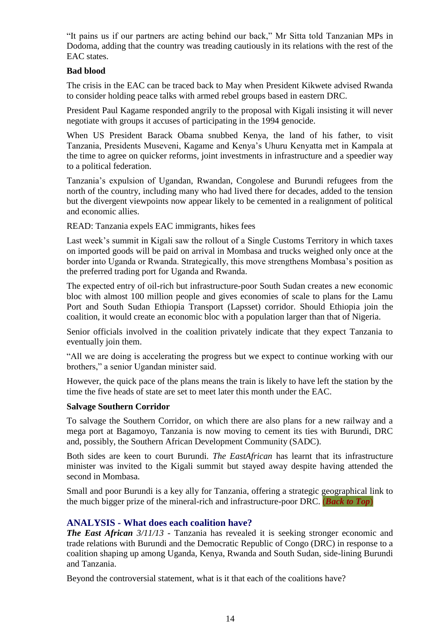"It pains us if our partners are acting behind our back," Mr Sitta told Tanzanian MPs in Dodoma, adding that the country was treading cautiously in its relations with the rest of the EAC states.

#### **Bad blood**

The crisis in the EAC can be traced back to May when President Kikwete advised Rwanda to consider holding peace talks with armed rebel groups based in eastern DRC.

President Paul Kagame responded angrily to the proposal with Kigali insisting it will never negotiate with groups it accuses of participating in the 1994 genocide.

When US President Barack Obama snubbed Kenya, the land of his father, to visit Tanzania, Presidents Museveni, Kagame and Kenya's Uhuru Kenyatta met in Kampala at the time to agree on quicker reforms, joint investments in infrastructure and a speedier way to a political federation.

Tanzania's expulsion of Ugandan, Rwandan, Congolese and Burundi refugees from the north of the country, including many who had lived there for decades, added to the tension but the divergent viewpoints now appear likely to be cemented in a realignment of political and economic allies.

READ: [Tanzania expels EAC immigrants, hikes fees](http://www.theeastafrican.co.ke/news/Tanzania-expels-EAC-immigrants-hikes-fees-/-/2558/2001852/-/mlk952z/-/index.html)

Last week's summit in Kigali saw the rollout of a Single Customs Territory in which taxes on imported goods will be paid on arrival in Mombasa and trucks weighed only once at the border into Uganda or Rwanda. Strategically, this move strengthens Mombasa's position as the preferred trading port for Uganda and Rwanda.

The expected entry of oil-rich but infrastructure-poor South Sudan creates a new economic bloc with almost 100 million people and gives economies of scale to plans for the Lamu Port and South Sudan Ethiopia Transport (Lapsset) corridor. Should Ethiopia join the coalition, it would create an economic bloc with a population larger than that of Nigeria.

Senior officials involved in the coalition privately indicate that they expect Tanzania to eventually join them.

"All we are doing is accelerating the progress but we expect to continue working with our brothers," a senior Ugandan minister said.

However, the quick pace of the plans means the train is likely to have left the station by the time the five heads of state are set to meet later this month under the EAC.

#### **Salvage Southern Corridor**

To salvage the Southern Corridor, on which there are also plans for a new railway and a mega port at Bagamoyo, Tanzania is now moving to cement its ties with Burundi, DRC and, possibly, the Southern African Development Community (SADC).

Both sides are keen to court Burundi. *The EastAfrican* has learnt that its infrastructure minister was invited to the Kigali summit but stayed away despite having attended the second in Mombasa.

Small and poor Burundi is a key ally for Tanzania, offering a strategic geographical link to the much bigger prize of the mineral-rich and infrastructure-poor DRC. (*[Back to Top](#page-0-0)*)

#### <span id="page-13-0"></span>**ANALYSIS - What does each coalition have?**

*The East African 3/11/13* - Tanzania has revealed it is seeking stronger economic and trade relations with Burundi and the Democratic Republic of Congo (DRC) in response to a coalition shaping up among Uganda, Kenya, Rwanda and South Sudan, side-lining Burundi and Tanzania.

Beyond the controversial statement, what is it that each of the coalitions have?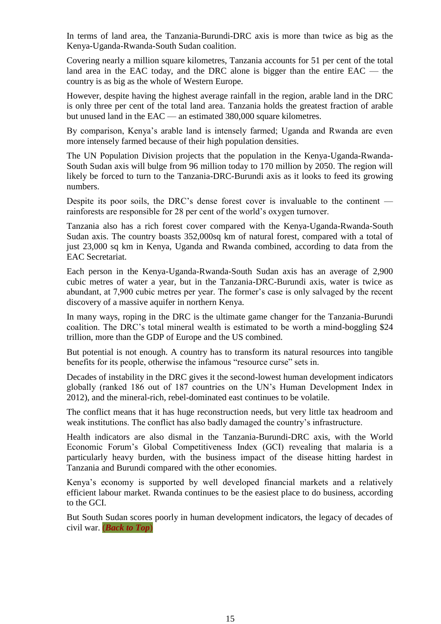In terms of land area, the Tanzania-Burundi-DRC axis is more than twice as big as the Kenya-Uganda-Rwanda-South Sudan coalition.

Covering nearly a million square kilometres, Tanzania accounts for 51 per cent of the total land area in the EAC today, and the DRC alone is bigger than the entire EAC — the country is as big as the whole of Western Europe.

However, despite having the highest average rainfall in the region, arable land in the DRC is only three per cent of the total land area. Tanzania holds the greatest fraction of arable but unused land in the EAC — an estimated 380,000 square kilometres.

By comparison, Kenya's arable land is intensely farmed; Uganda and Rwanda are even more intensely farmed because of their high population densities.

The UN Population Division projects that the population in the Kenya-Uganda-Rwanda-South Sudan axis will bulge from 96 million today to 170 million by 2050. The region will likely be forced to turn to the Tanzania-DRC-Burundi axis as it looks to feed its growing numbers.

Despite its poor soils, the DRC's dense forest cover is invaluable to the continent rainforests are responsible for 28 per cent of the world's oxygen turnover.

Tanzania also has a rich forest cover compared with the Kenya-Uganda-Rwanda-South Sudan axis. The country boasts 352,000sq km of natural forest, compared with a total of just 23,000 sq km in Kenya, Uganda and Rwanda combined, according to data from the EAC Secretariat.

Each person in the Kenya-Uganda-Rwanda-South Sudan axis has an average of 2,900 cubic metres of water a year, but in the Tanzania-DRC-Burundi axis, water is twice as abundant, at 7,900 cubic metres per year. The former's case is only salvaged by the recent discovery of a massive aquifer in northern Kenya.

In many ways, roping in the DRC is the ultimate game changer for the Tanzania-Burundi coalition. The DRC's total mineral wealth is estimated to be worth a mind-boggling \$24 trillion, more than the GDP of Europe and the US combined.

But potential is not enough. A country has to transform its natural resources into tangible benefits for its people, otherwise the infamous "resource curse" sets in.

Decades of instability in the DRC gives it the second-lowest human development indicators globally (ranked 186 out of 187 countries on the UN's Human Development Index in 2012), and the mineral-rich, rebel-dominated east continues to be volatile.

The conflict means that it has huge reconstruction needs, but very little tax headroom and weak institutions. The conflict has also badly damaged the country's infrastructure.

Health indicators are also dismal in the Tanzania-Burundi-DRC axis, with the World Economic Forum's Global Competitiveness Index (GCI) revealing that malaria is a particularly heavy burden, with the business impact of the disease hitting hardest in Tanzania and Burundi compared with the other economies.

Kenya's economy is supported by well developed financial markets and a relatively efficient labour market. Rwanda continues to be the easiest place to do business, according to the GCI.

But South Sudan scores poorly in human development indicators, the legacy of decades of civil war. (*[Back to Top](#page-0-0)*)